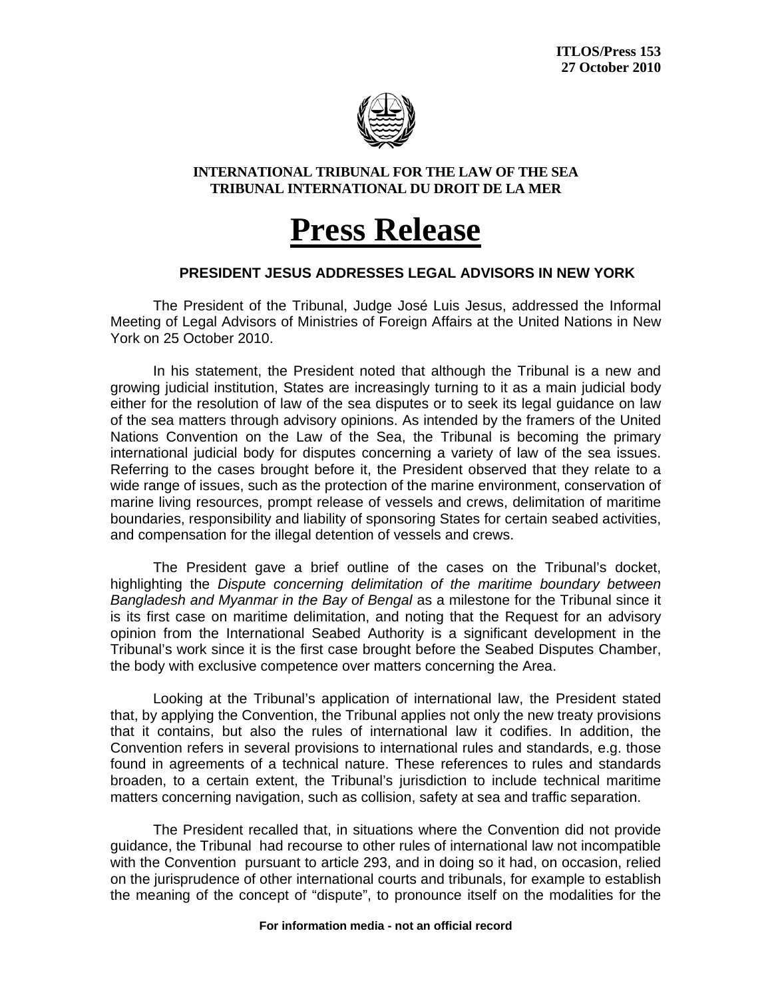

## **INTERNATIONAL TRIBUNAL FOR THE LAW OF THE SEA TRIBUNAL INTERNATIONAL DU DROIT DE LA MER**

## **Press Release**

## **PRESIDENT JESUS ADDRESSES LEGAL ADVISORS IN NEW YORK**

 The President of the Tribunal, Judge José Luis Jesus, addressed the Informal Meeting of Legal Advisors of Ministries of Foreign Affairs at the United Nations in New York on 25 October 2010.

In his statement, the President noted that although the Tribunal is a new and growing judicial institution, States are increasingly turning to it as a main judicial body either for the resolution of law of the sea disputes or to seek its legal guidance on law of the sea matters through advisory opinions. As intended by the framers of the United Nations Convention on the Law of the Sea, the Tribunal is becoming the primary international judicial body for disputes concerning a variety of law of the sea issues. Referring to the cases brought before it, the President observed that they relate to a wide range of issues, such as the protection of the marine environment, conservation of marine living resources, prompt release of vessels and crews, delimitation of maritime boundaries, responsibility and liability of sponsoring States for certain seabed activities, and compensation for the illegal detention of vessels and crews.

The President gave a brief outline of the cases on the Tribunal's docket, highlighting the *Dispute concerning delimitation of the maritime boundary between Bangladesh and Myanmar in the Bay of Bengal* as a milestone for the Tribunal since it is its first case on maritime delimitation, and noting that the Request for an advisory opinion from the International Seabed Authority is a significant development in the Tribunal's work since it is the first case brought before the Seabed Disputes Chamber, the body with exclusive competence over matters concerning the Area.

Looking at the Tribunal's application of international law, the President stated that, by applying the Convention, the Tribunal applies not only the new treaty provisions that it contains, but also the rules of international law it codifies. In addition, the Convention refers in several provisions to international rules and standards, e.g. those found in agreements of a technical nature. These references to rules and standards broaden, to a certain extent, the Tribunal's jurisdiction to include technical maritime matters concerning navigation, such as collision, safety at sea and traffic separation.

The President recalled that, in situations where the Convention did not provide guidance, the Tribunal had recourse to other rules of international law not incompatible with the Convention pursuant to article 293, and in doing so it had, on occasion, relied on the jurisprudence of other international courts and tribunals, for example to establish the meaning of the concept of "dispute", to pronounce itself on the modalities for the